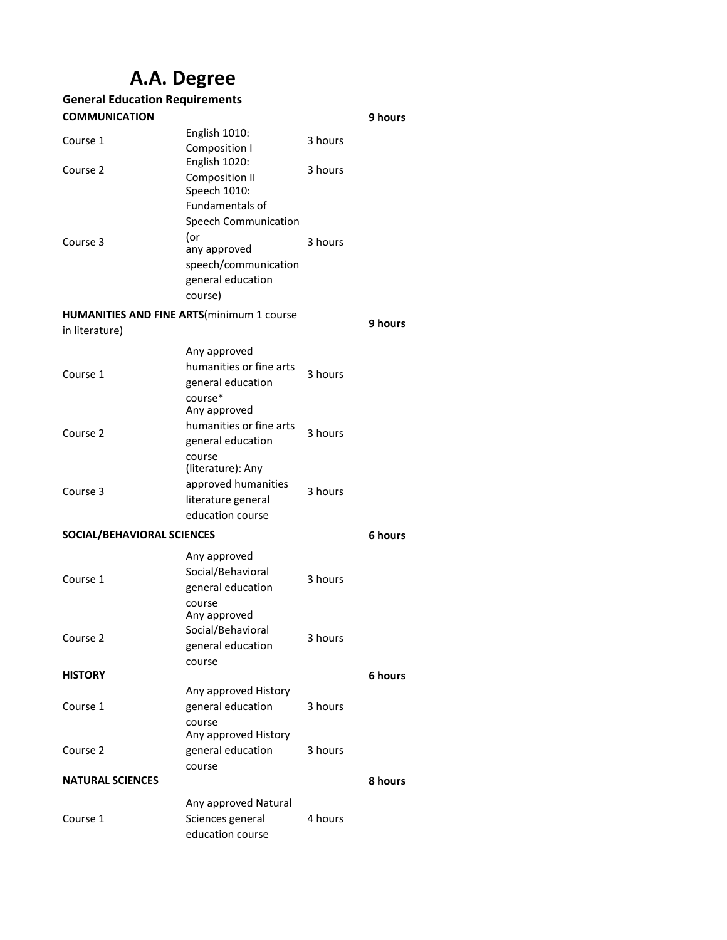## **A.A. Degree**

| <b>General Education Requirements</b> |                                                                                         |         |         |
|---------------------------------------|-----------------------------------------------------------------------------------------|---------|---------|
| <b>COMMUNICATION</b>                  |                                                                                         |         | 9 hours |
| Course 1                              | English 1010:<br>Composition I                                                          | 3 hours |         |
| Course 2                              | English 1020:<br>Composition II<br>Speech 1010:                                         | 3 hours |         |
|                                       | <b>Fundamentals of</b><br><b>Speech Communication</b><br>(or                            | 3 hours |         |
| Course 3                              | any approved<br>speech/communication<br>general education<br>course)                    |         |         |
|                                       | <b>HUMANITIES AND FINE ARTS(minimum 1 course</b>                                        |         |         |
| in literature)                        |                                                                                         |         | 9 hours |
| Course 1                              | Any approved<br>humanities or fine arts<br>general education<br>course*<br>Any approved | 3 hours |         |
| Course 2                              | humanities or fine arts<br>general education<br>course                                  | 3 hours |         |
| Course 3                              | (literature): Any<br>approved humanities<br>literature general<br>education course      | 3 hours |         |
| SOCIAL/BEHAVIORAL SCIENCES            |                                                                                         |         | 6 hours |
|                                       |                                                                                         |         |         |
| Course 1                              | Any approved<br>Social/Behavioral<br>general education                                  | 3 hours |         |
| Course 2                              | course<br>Any approved<br>Social/Behavioral<br>general education<br>course              | 3 hours |         |
| <b>HISTORY</b>                        |                                                                                         |         | 6 hours |
|                                       | Any approved History                                                                    |         |         |
| Course 1                              | general education<br>course                                                             | 3 hours |         |
| Course 2                              | Any approved History<br>general education<br>course                                     | 3 hours |         |
| <b>NATURAL SCIENCES</b>               |                                                                                         |         | 8 hours |
|                                       |                                                                                         |         |         |
| Course 1                              | Any approved Natural<br>Sciences general                                                | 4 hours |         |
|                                       | education course                                                                        |         |         |